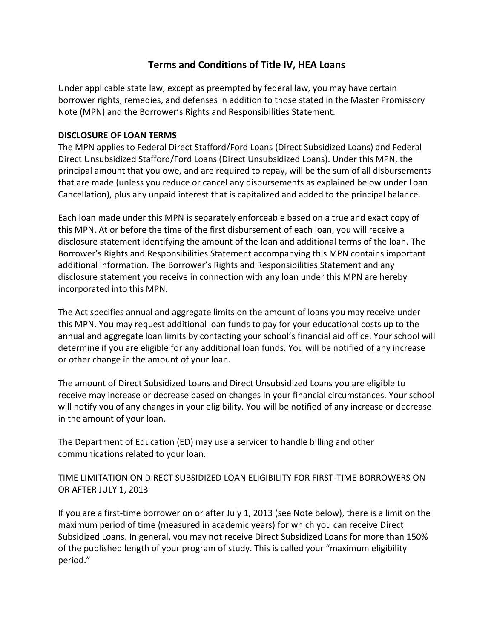# **Terms and Conditions of Title IV, HEA Loans**

 Under applicable state law, except as preempted by federal law, you may have certain borrower rights, remedies, and defenses in addition to those stated in the Master Promissory Note (MPN) and the Borrower's Rights and Responsibilities Statement.

### **DISCLOSURE OF LOAN TERMS**

 The MPN applies to Federal Direct Stafford/Ford Loans (Direct Subsidized Loans) and Federal Direct Unsubsidized Stafford/Ford Loans (Direct Unsubsidized Loans). Under this MPN, the principal amount that you owe, and are required to repay, will be the sum of all disbursements that are made (unless you reduce or cancel any disbursements as explained below under Loan Cancellation), plus any unpaid interest that is capitalized and added to the principal balance. (MPN) and th<br> **LOSURE OF LC**<br>
MPN applies t<br>
tt Unsubsidize<br>
sipal amount t<br>
are made (unl<br>
ellation), plus<br>
loan made ur<br>
MPN. At or be<br>
ssure stateme<br>
wer's Rights

 Each loan made under this MPN is separately enforceable based on a true and exact copy of this MPN. At or before the time of the first disbursement of each loan, you will receive a disclosure statement identifying the amount of the loan and additional terms of the loan. The Borrower's Rights and Responsibilities Statement accompanying this MPN contains important additional information. The Borrower's Rights and Responsibilities Statement and any disclosure statement you receive in connection with any loan under this MPN are hereby incorporated into this MPN.

 The Act specifies annual and aggregate limits on the amount of loans you may receive under this MPN. You may request additional loan funds to pay for your educational costs up to the annual and aggregate loan limits by contacting your school's financial aid office. Your school will determine if you are eligible for any additional loan funds. You will be notified of any increase or other change in the amount of your loan.

 The amount of Direct Subsidized Loans and Direct Unsubsidized Loans you are eligible to receive may increase or decrease based on changes in your financial circumstances. Your school will notify you of any changes in your eligibility. You will be notified of any increase or decrease in the amount of your loan.

 The Department of Education (ED) may use a servicer to handle billing and other communications related to your loan.

# TIME LIMITATION ON DIRECT SUBSIDIZED LOAN ELIGIBILITY FOR FIRST-TIME BORROWERS ON OR AFTER JULY 1, 2013

 If you are a first-time borrower on or after July 1, 2013 (see Note below), there is a limit on the maximum period of time (measured in academic years) for which you can receive Direct Subsidized Loans. In general, you may not receive Direct Subsidized Loans for more than 150% of the published length of your program of study. This is called your "maximum eligibility period."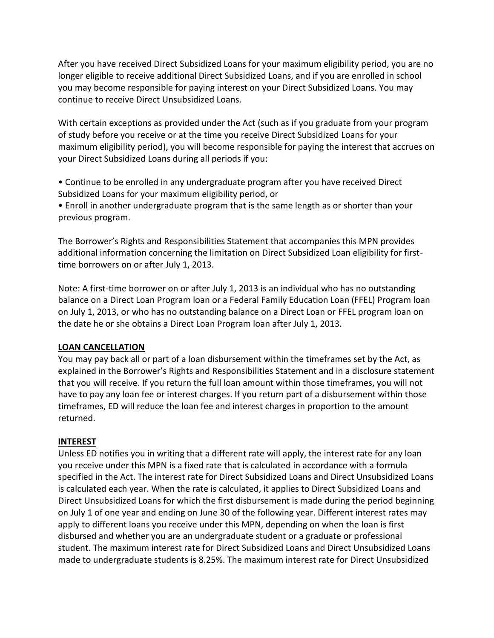After you have received Direct Subsidized Loans for your maximum eligibility period, you are no longer eligible to receive additional Direct Subsidized Loans, and if you are enrolled in school you may become responsible for paying interest on your Direct Subsidized Loans. You may continue to receive Direct Unsubsidized Loans.

 With certain exceptions as provided under the Act (such as if you graduate from your program of study before you receive or at the time you receive Direct Subsidized Loans for your maximum eligibility period), you will become responsible for paying the interest that accrues on your Direct Subsidized Loans during all periods if you: After you have received Direct Subsidized Loans for your maximum elligibility period, you are no<br>pour may become responsible for paying Interest on your Direct Subsidized Loans. You may<br>you may become responsible for payin

 • Continue to be enrolled in any undergraduate program after you have received Direct Subsidized Loans for your maximum eligibility period, or

 • Enroll in another undergraduate program that is the same length as or shorter than your previous program.

 The Borrower's Rights and Responsibilities Statement that accompanies this MPN provides additional information concerning the limitation on Direct Subsidized Loan eligibility for first-time borrowers on or after July 1, 2013.

 Note: A first-time borrower on or after July 1, 2013 is an individual who has no outstanding balance on a Direct Loan Program loan or a Federal Family Education Loan (FFEL) Program loan on July 1, 2013, or who has no outstanding balance on a Direct Loan or FFEL program loan on the date he or she obtains a Direct Loan Program loan after July 1, 2013.

# **LOAN CANCELLATION**

 You may pay back all or part of a loan disbursement within the timeframes set by the Act, as explained in the Borrower's Rights and Responsibilities Statement and in a disclosure statement that you will receive. If you return the full loan amount within those timeframes, you will not have to pay any loan fee or interest charges. If you return part of a disbursement within those timeframes, ED will reduce the loan fee and interest charges in proportion to the amount returned.

#### **INTEREST**

 Unless ED notifies you in writing that a different rate will apply, the interest rate for any loan you receive under this MPN is a fixed rate that is calculated in accordance with a formula specified in the Act. The interest rate for Direct Subsidized Loans and Direct Unsubsidized Loans is calculated each year. When the rate is calculated, it applies to Direct Subsidized Loans and Direct Unsubsidized Loans for which the first disbursement is made during the period beginning on July 1 of one year and ending on June 30 of the following year. Different interest rates may apply to different loans you receive under this MPN, depending on when the loan is first disbursed and whether you are an undergraduate student or a graduate or professional student. The maximum interest rate for Direct Subsidized Loans and Direct Unsubsidized Loans made to undergraduate students is 8.25%. The maximum interest rate for Direct Unsubsidized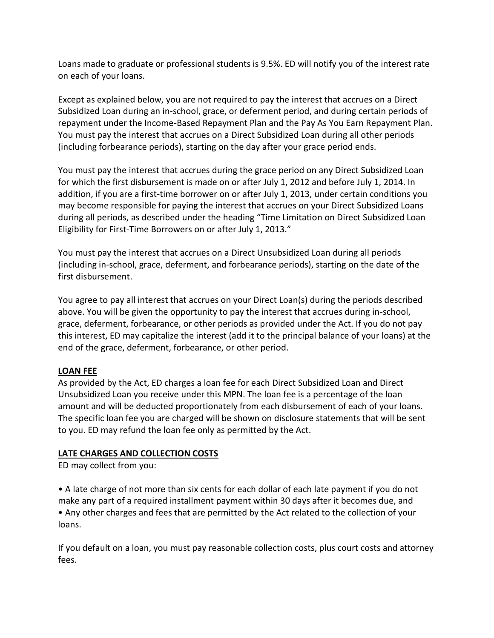Loans made to graduate or professional students is 9.5%. ED will notify you of the interest rate on each of your loans.

 Except as explained below, you are not required to pay the interest that accrues on a Direct Subsidized Loan during an in-school, grace, or deferment period, and during certain periods of repayment under the Income-Based Repayment Plan and the Pay As You Earn Repayment Plan. You must pay the interest that accrues on a Direct Subsidized Loan during all other periods (including forbearance periods), starting on the day after your grace period ends.

 You must pay the interest that accrues during the grace period on any Direct Subsidized Loan for which the first disbursement is made on or after July 1, 2012 and before July 1, 2014. In addition, if you are a first-time borrower on or after July 1, 2013, under certain conditions you may become responsible for paying the interest that accrues on your Direct Subsidized Loans during all periods, as described under the heading "Time Limitation on Direct Subsidized Loan Eligibility for First-Time Borrowers on or after July 1, 2013."

 You must pay the interest that accrues on a Direct Unsubsidized Loan during all periods (including in-school, grace, deferment, and forbearance periods), starting on the date of the first disbursement.

 You agree to pay all interest that accrues on your Direct Loan(s) during the periods described above. You will be given the opportunity to pay the interest that accrues during in-school, grace, deferment, forbearance, or other periods as provided under the Act. If you do not pay this interest, ED may capitalize the interest (add it to the principal balance of your loans) at the end of the grace, deferment, forbearance, or other period. , as described under<br>-Time Borrowers on<br>interest that accrue<br>ol, grace, deferment<br>t.<br>all interest that accrue<br>piven the opportun<br>, forbearance, or oth<br>nay capitalize the int<br>deferment, forbeara<br>e Act, ED charges a le<br>n you

# **LOAN FEE**

 As provided by the Act, ED charges a loan fee for each Direct Subsidized Loan and Direct Unsubsidized Loan you receive under this MPN. The loan fee is a percentage of the loan amount and will be deducted proportionately from each disbursement of each of your loans. The specific loan fee you are charged will be shown on disclosure statements that will be sent to you. ED may refund the loan fee only as permitted by the Act.

# **LATE CHARGES AND COLLECTION COSTS**

ED may collect from you:

 • A late charge of not more than six cents for each dollar of each late payment if you do not make any part of a required installment payment within 30 days after it becomes due, and • Any other charges and fees that are permitted by the Act related to the collection of your loans.

loans.<br>If you default on a loan, you must pay reasonable collection costs, plus court costs and attorney fees.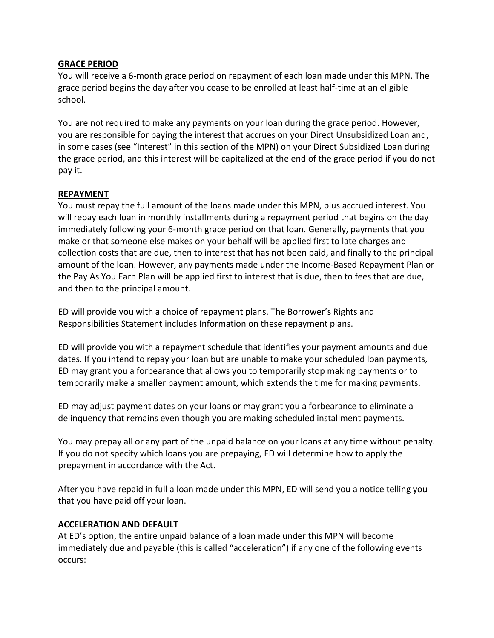### **GRACE PERIOD**

 You will receive a 6-month grace period on repayment of each loan made under this MPN. The grace period begins the day after you cease to be enrolled at least half-time at an eligible school.

 You are not required to make any payments on your loan during the grace period. However, you are responsible for paying the interest that accrues on your Direct Unsubsidized Loan and, in some cases (see "Interest" in this section of the MPN) on your Direct Subsidized Loan during the grace period, and this interest will be capitalized at the end of the grace period if you do not pay it.

### **REPAYMENT**

 You must repay the full amount of the loans made under this MPN, plus accrued interest. You will repay each loan in monthly installments during a repayment period that begins on the day immediately following your 6-month grace period on that loan. Generally, payments that you make or that someone else makes on your behalf will be applied first to late charges and collection costs that are due, then to interest that has not been paid, and finally to the principal amount of the loan. However, any payments made under the Income-Based Repayment Plan or the Pay As You Earn Plan will be applied first to interest that is due, then to fees that are due, and then to the principal amount. some cases (see "Interest" in the grace period, and this interest" in the grace period, and this interesty it.<br>
<u>EPAYMENT</u><br>
bull repay each loan in monthly in<br>
ill repay each loan in monthly in<br>
ill repay each loan in mont

 ED will provide you with a choice of repayment plans. The Borrower's Rights and Responsibilities Statement includes Information on these repayment plans.

 ED will provide you with a repayment schedule that identifies your payment amounts and due dates. If you intend to repay your loan but are unable to make your scheduled loan payments, ED may grant you a forbearance that allows you to temporarily stop making payments or to temporarily make a smaller payment amount, which extends the time for making payments.

 ED may adjust payment dates on your loans or may grant you a forbearance to eliminate a delinquency that remains even though you are making scheduled installment payments.

 You may prepay all or any part of the unpaid balance on your loans at any time without penalty. If you do not specify which loans you are prepaying, ED will determine how to apply the prepayment in accordance with the Act.

 After you have repaid in full a loan made under this MPN, ED will send you a notice telling you that you have paid off your loan.

# **ACCELERATION AND DEFAULT**

 At ED's option, the entire unpaid balance of a loan made under this MPN will become immediately due and payable (this is called "acceleration") if any one of the following events occurs: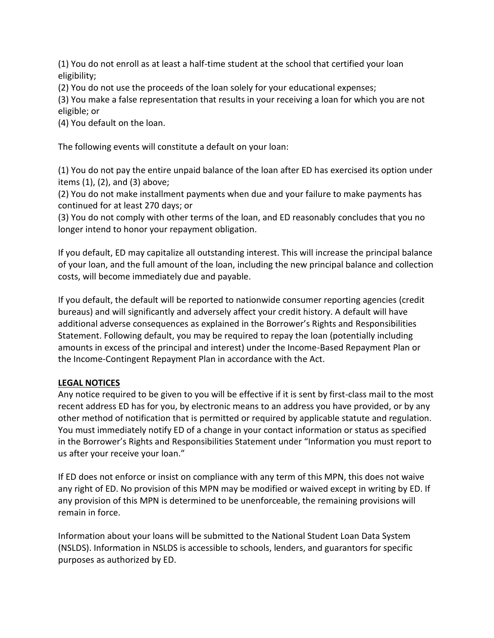(1) You do not enroll as at least a half-time student at the school that certified your loan eligibility;

(2) You do not use the proceeds of the loan solely for your educational expenses;

 (3) You make a false representation that results in your receiving a loan for which you are not eligible; or

(4) You default on the loan.

The following events will constitute a default on your loan:

 (1) You do not pay the entire unpaid balance of the loan after ED has exercised its option under items (1), (2), and (3) above;

 (2) You do not make installment payments when due and your failure to make payments has continued for at least 270 days; or

 (3) You do not comply with other terms of the loan, and ED reasonably concludes that you no longer intend to honor your repayment obligation.

 If you default, ED may capitalize all outstanding interest. This will increase the principal balance of your loan, and the full amount of the loan, including the new principal balance and collection costs, will become immediately due and payable.

 If you default, the default will be reported to nationwide consumer reporting agencies (credit bureaus) and will significantly and adversely affect your credit history. A default will have additional adverse consequences as explained in the Borrower's Rights and Responsibilities Statement. Following default, you may be required to repay the loan (potentially including amounts in excess of the principal and interest) under the Income-Based Repayment Plan or the Income-Contingent Repayment Plan in accordance with the Act. (1) You do not enroll as at least a half-time student at the school that certified your loan<br>(2) You do not use the proceeds of the loan solely for your educational expenses;<br>(2) You make a false representation that result

# **LEGAL NOTICES**

 Any notice required to be given to you will be effective if it is sent by first-class mail to the most recent address ED has for you, by electronic means to an address you have provided, or by any other method of notification that is permitted or required by applicable statute and regulation. You must immediately notify ED of a change in your contact information or status as specified in the Borrower's Rights and Responsibilities Statement under "Information you must report to us after your receive your loan."

 If ED does not enforce or insist on compliance with any term of this MPN, this does not waive any right of ED. No provision of this MPN may be modified or waived except in writing by ED. If any provision of this MPN is determined to be unenforceable, the remaining provisions will remain in force.

 Information about your loans will be submitted to the National Student Loan Data System (NSLDS). Information in NSLDS is accessible to schools, lenders, and guarantors for specific purposes as authorized by ED.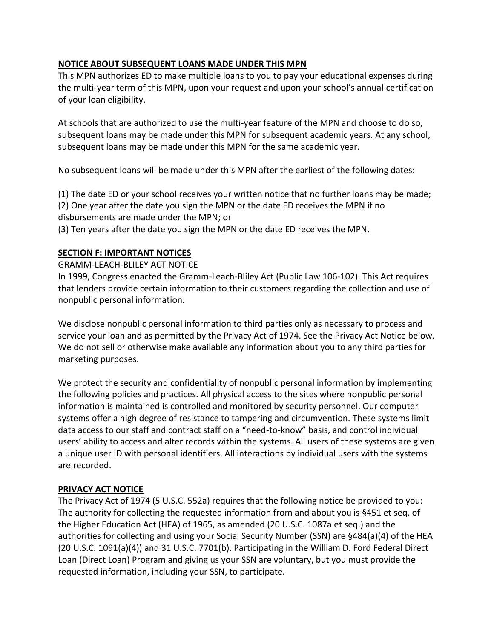This MPN authorizes ED to make multiple loans to you to pay your educational expenses during the multi-year term of this MPN, upon your request and upon your school's annual certification of your loan eligibility.

 At schools that are authorized to use the multi-year feature of the MPN and choose to do so, subsequent loans may be made under this MPN for subsequent academic years. At any school, subsequent loans may be made under this MPN for the same academic year.

No subsequent loans will be made under this MPN after the earliest of the following dates:

(1) The date ED or your school receives your written notice that no further loans may be made;

 (2) One year after the date you sign the MPN or the date ED receives the MPN if no disbursements are made under the MPN; or

(3) Ten years after the date you sign the MPN or the date ED receives the MPN.

#### **SECTION F: IMPORTANT NOTICES**

GRAMM-LEACH-BLILEY ACT NOTICE

 In 1999, Congress enacted the Gramm-Leach-Bliley Act (Public Law 106-102). This Act requires that lenders provide certain information to their customers regarding the collection and use of nonpublic personal information.

 We disclose nonpublic personal information to third parties only as necessary to process and service your loan and as permitted by the Privacy Act of 1974. See the Privacy Act Notice below. We do not sell or otherwise make available any information about you to any third parties for marketing purposes.

 We protect the security and confidentiality of nonpublic personal information by implementing the following policies and practices. All physical access to the sites where nonpublic personal information is maintained is controlled and monitored by security personnel. Our computer systems offer a high degree of resistance to tampering and circumvention. These systems limit data access to our staff and contract staff on a "need-to-know" basis, and control individual users' ability to access and alter records within the systems. All users of these systems are given a unique user ID with personal identifiers. All interactions by individual users with the systems are recorded. **NOTICE ABOUT SUBSEQUENT LOANS MADE UNDER THIS MPN**<br>This MPN authorizes ED to make multiple loans to you to pay yo<br>the multi-year term of this MPN, upon your request and upon yimple<br>of your loan eligibility.<br>At schools tha

# **PRIVACY ACT NOTICE**

 The Privacy Act of 1974 (5 U.S.C. 552a) requires that the following notice be provided to you: The authority for collecting the requested information from and about you is §451 et seq. of the Higher Education Act (HEA) of 1965, as amended (20 U.S.C. 1087a et seq.) and the authorities for collecting and using your Social Security Number (SSN) are §484(a)(4) of the HEA (20 U.S.C. 1091(a)(4)) and 31 U.S.C. 7701(b). Participating in the William D. Ford Federal Direct Loan (Direct Loan) Program and giving us your SSN are voluntary, but you must provide the requested information, including your SSN, to participate.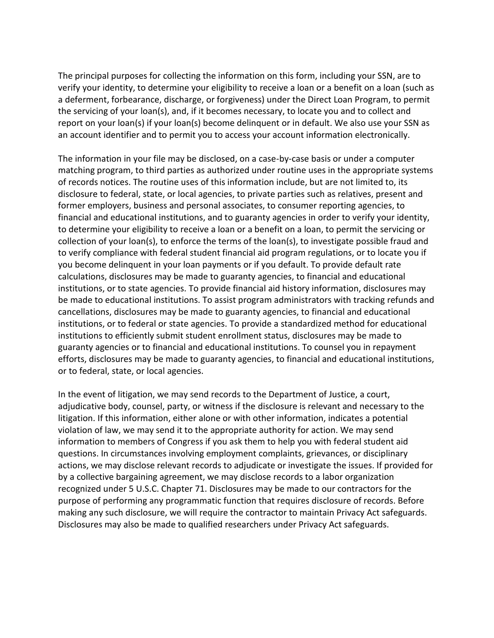The principal purposes for collecting the information on this form, including your SSN, are to verify your identity, to determine your eligibility to receive a loan or a benefit on a loan (such as a deferment, forbearance, discharge, or forgiveness) under the Direct Loan Program, to permit the servicing of your loan(s), and, if it becomes necessary, to locate you and to collect and report on your loan(s) if your loan(s) become delinquent or in default. We also use your SSN as an account identifier and to permit you to access your account information electronically.

 The information in your file may be disclosed, on a case-by-case basis or under a computer matching program, to third parties as authorized under routine uses in the appropriate systems of records notices. The routine uses of this information include, but are not limited to, its disclosure to federal, state, or local agencies, to private parties such as relatives, present and former employers, business and personal associates, to consumer reporting agencies, to financial and educational institutions, and to guaranty agencies in order to verify your identity, to determine your eligibility to receive a loan or a benefit on a loan, to permit the servicing or collection of your loan(s), to enforce the terms of the loan(s), to investigate possible fraud and to verify compliance with federal student financial aid program regulations, or to locate you if you become delinquent in your loan payments or if you default. To provide default rate calculations, disclosures may be made to guaranty agencies, to financial and educational be made to educational institutions. To assist program administrators with tracking refunds and cancellations, disclosures may be made to guaranty agencies, to financial and educational institutions, or to federal or state agencies. To provide a standardized method for educational institutions to efficiently submit student enrollment status, disclosures may be made to guaranty agencies or to financial and educational institutions. To counsel you in repayment efforts, disclosures may be made to guaranty agencies, to financial and educational institutions, or to federal, state, or local agencies. institutions, or to state agencies. To provide financial aid history information, disclosures may

 In the event of litigation, we may send records to the Department of Justice, a court, adjudicative body, counsel, party, or witness if the disclosure is relevant and necessary to the litigation. If this information, either alone or with other information, indicates a potential violation of law, we may send it to the appropriate authority for action. We may send information to members of Congress if you ask them to help you with federal student aid questions. In circumstances involving employment complaints, grievances, or disciplinary actions, we may disclose relevant records to adjudicate or investigate the issues. If provided for by a collective bargaining agreement, we may disclose records to a labor organization recognized under 5 U.S.C. Chapter 71. Disclosures may be made to our contractors for the purpose of performing any programmatic function that requires disclosure of records. Before making any such disclosure, we will require the contractor to maintain Privacy Act safeguards. Disclosures may also be made to qualified researchers under Privacy Act safeguards.